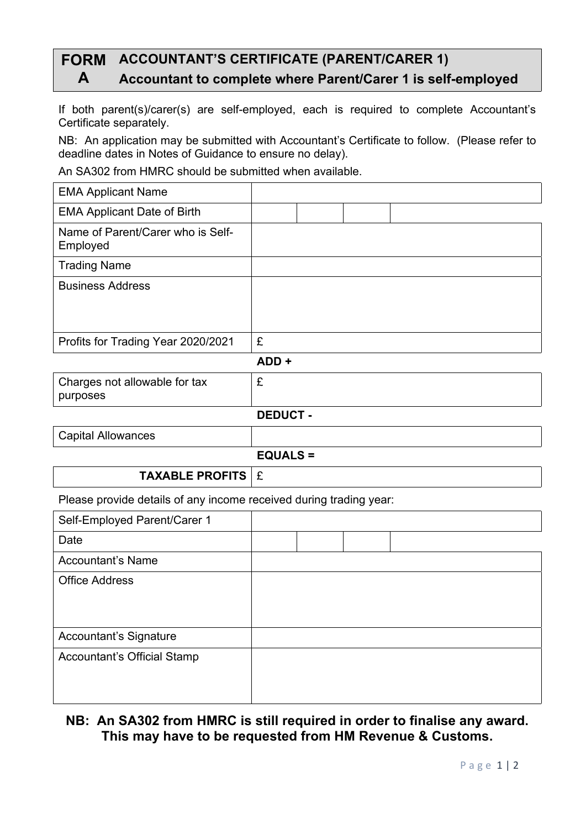# **FORM ACCOUNTANT'S CERTIFICATE (PARENT/CARER 1) A Accountant to complete where Parent/Carer 1 is self-employed**

If both parent(s)/carer(s) are self-employed, each is required to complete Accountant's Certificate separately.

NB: An application may be submitted with Accountant's Certificate to follow. (Please refer to deadline dates in Notes of Guidance to ensure no delay).

An SA302 from HMRC should be submitted when available.

| <b>EMA Applicant Name</b>                     |                 |  |  |
|-----------------------------------------------|-----------------|--|--|
| <b>EMA Applicant Date of Birth</b>            |                 |  |  |
| Name of Parent/Carer who is Self-<br>Employed |                 |  |  |
| <b>Trading Name</b>                           |                 |  |  |
| <b>Business Address</b>                       |                 |  |  |
| Profits for Trading Year 2020/2021            | £               |  |  |
|                                               | ADD+            |  |  |
| Charges not allowable for tax<br>purposes     | £               |  |  |
|                                               | <b>DEDUCT -</b> |  |  |
| <b>Capital Allowances</b>                     |                 |  |  |

#### **EQUALS =**

### **TAXABLE PROFITS | £**

Please provide details of any income received during trading year:

| Self-Employed Parent/Carer 1       |  |  |
|------------------------------------|--|--|
| Date                               |  |  |
| <b>Accountant's Name</b>           |  |  |
| <b>Office Address</b>              |  |  |
|                                    |  |  |
|                                    |  |  |
| Accountant's Signature             |  |  |
| <b>Accountant's Official Stamp</b> |  |  |
|                                    |  |  |
|                                    |  |  |

## **NB: An SA302 from HMRC is still required in order to finalise any award. This may have to be requested from HM Revenue & Customs.**